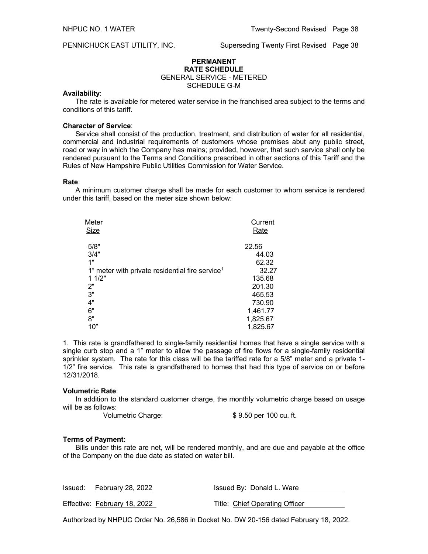PENNICHUCK EAST UTILITY, INC. Superseding Twenty First Revised Page 38

# **PERMANENT RATE SCHEDULE** GENERAL SERVICE - METERED SCHEDULE G-M

# **Availability**:

The rate is available for metered water service in the franchised area subject to the terms and conditions of this tariff.

# **Character of Service**:

Service shall consist of the production, treatment, and distribution of water for all residential, commercial and industrial requirements of customers whose premises abut any public street, road or way in which the Company has mains; provided, however, that such service shall only be rendered pursuant to the Terms and Conditions prescribed in other sections of this Tariff and the Rules of New Hampshire Public Utilities Commission for Water Service.

#### **Rate**:

A minimum customer charge shall be made for each customer to whom service is rendered under this tariff, based on the meter size shown below:

| Meter                                                       | Current  |
|-------------------------------------------------------------|----------|
| <b>Size</b>                                                 | Rate     |
|                                                             |          |
| 5/8"                                                        | 22.56    |
| 3/4"                                                        | 44.03    |
| 1"                                                          | 62.32    |
| 1" meter with private residential fire service <sup>1</sup> | 32.27    |
| 11/2"                                                       | 135.68   |
| 2"                                                          | 201.30   |
| 3"                                                          | 465.53   |
| 4"                                                          | 730.90   |
| 6"                                                          | 1,461.77 |
| 8"                                                          | 1,825.67 |
| 10"                                                         | 1,825.67 |

1.This rate is grandfathered to single-family residential homes that have a single service with a single curb stop and a 1" meter to allow the passage of fire flows for a single-family residential sprinkler system. The rate for this class will be the tariffed rate for a 5/8" meter and a private 1-1/2" fire service. This rate is grandfathered to homes that had this type of service on or before 12/31/2018.

#### **Volumetric Rate**:

In addition to the standard customer charge, the monthly volumetric charge based on usage will be as follows:

Volumetric Charge: \$ 9.50 per 100 cu. ft.

## **Terms of Payment**:

Bills under this rate are net, will be rendered monthly, and are due and payable at the office of the Company on the due date as stated on water bill.

| Issued: February 28, 2022    | Issued By: Donald L. Ware      |  |
|------------------------------|--------------------------------|--|
| Effective: February 18, 2022 | Title: Chief Operating Officer |  |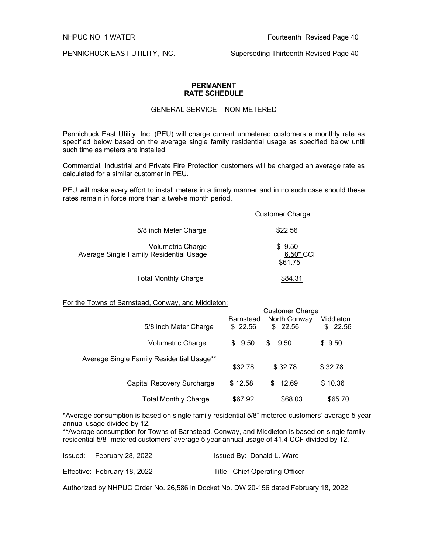PENNICHUCK EAST UTILITY, INC. Superseding Thirteenth Revised Page 40

# **PERMANENT RATE SCHEDULE**

# GENERAL SERVICE – NON-METERED

Pennichuck East Utility, Inc. (PEU) will charge current unmetered customers a monthly rate as specified below based on the average single family residential usage as specified below until such time as meters are installed.

Commercial, Industrial and Private Fire Protection customers will be charged an average rate as calculated for a similar customer in PEU.

PEU will make every effort to install meters in a timely manner and in no such case should these rates remain in force more than a twelve month period.

|                                                                     | <b>Customer Charge</b>         |
|---------------------------------------------------------------------|--------------------------------|
| 5/8 inch Meter Charge                                               | \$22.56                        |
| <b>Volumetric Charge</b><br>Average Single Family Residential Usage | \$9.50<br>6.50* CCF<br>\$61.75 |
| <b>Total Monthly Charge</b>                                         |                                |

# For the Towns of Barnstead, Conway, and Middleton:

|                                           |                  | <b>Customer Charge</b> |           |
|-------------------------------------------|------------------|------------------------|-----------|
|                                           | <b>Barnstead</b> | North Conway           | Middleton |
| 5/8 inch Meter Charge                     | \$22.56          | 22.56<br>\$            | \$22.56   |
| Volumetric Charge                         | \$9.50           | \$.<br>9.50            | \$9.50    |
| Average Single Family Residential Usage** |                  |                        |           |
|                                           | \$32.78          | \$32.78                | \$32.78   |
| Capital Recovery Surcharge                | \$12.58          | 12.69<br>\$.           | \$10.36   |
| <b>Total Monthly Charge</b>               | \$67.92          | \$68.03                | \$65.70   |

\*Average consumption is based on single family residential 5/8" metered customers' average 5 year annual usage divided by 12.

\*\*Average consumption for Towns of Barnstead, Conway, and Middleton is based on single family residential 5/8" metered customers' average 5 year annual usage of 41.4 CCF divided by 12.

| Issued: February 28, 2022    | Issued By: Donald L. Ware      |
|------------------------------|--------------------------------|
| Effective: February 18, 2022 | Title: Chief Operating Officer |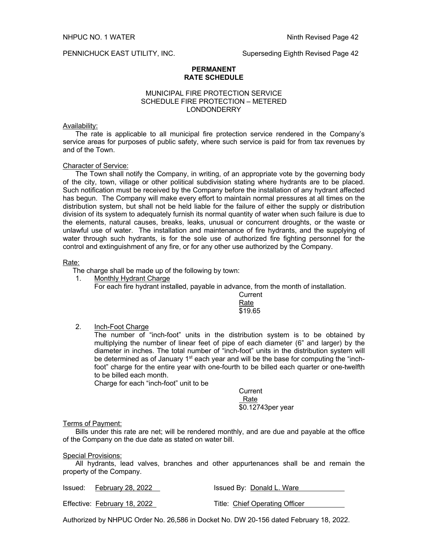## **PERMANENT RATE SCHEDULE**

# MUNICIPAL FIRE PROTECTION SERVICE SCHEDULE FIRE PROTECTION – METERED LONDONDERRY

# Availability:

The rate is applicable to all municipal fire protection service rendered in the Company's service areas for purposes of public safety, where such service is paid for from tax revenues by and of the Town.

# Character of Service:

The Town shall notify the Company, in writing, of an appropriate vote by the governing body of the city, town, village or other political subdivision stating where hydrants are to be placed. Such notification must be received by the Company before the installation of any hydrant affected has begun. The Company will make every effort to maintain normal pressures at all times on the distribution system, but shall not be held liable for the failure of either the supply or distribution division of its system to adequately furnish its normal quantity of water when such failure is due to the elements, natural causes, breaks, leaks, unusual or concurrent droughts, or the waste or unlawful use of water. The installation and maintenance of fire hydrants, and the supplying of water through such hydrants, is for the sole use of authorized fire fighting personnel for the control and extinguishment of any fire, or for any other use authorized by the Company.

# Rate:

The charge shall be made up of the following by town:

1. Monthly Hydrant Charge

For each fire hydrant installed, payable in advance, from the month of installation.

**Current** Rate \$19.65

2. Inch-Foot Charge

The number of "inch-foot" units in the distribution system is to be obtained by multiplying the number of linear feet of pipe of each diameter (6" and larger) by the diameter in inches. The total number of "inch-foot" units in the distribution system will be determined as of January  $1<sup>st</sup>$  each year and will be the base for computing the "inchfoot" charge for the entire year with one-fourth to be billed each quarter or one-twelfth to be billed each month.

Charge for each "inch-foot" unit to be

**Current**  Rate \$0.12743per year

# Terms of Payment:

Bills under this rate are net; will be rendered monthly, and are due and payable at the office of the Company on the due date as stated on water bill.

# **Special Provisions:**

All hydrants, lead valves, branches and other appurtenances shall be and remain the property of the Company.

| Issued: February 28, 2022    | Issued By: Donald L. Ware      |
|------------------------------|--------------------------------|
| Effective: February 18, 2022 | Title: Chief Operating Officer |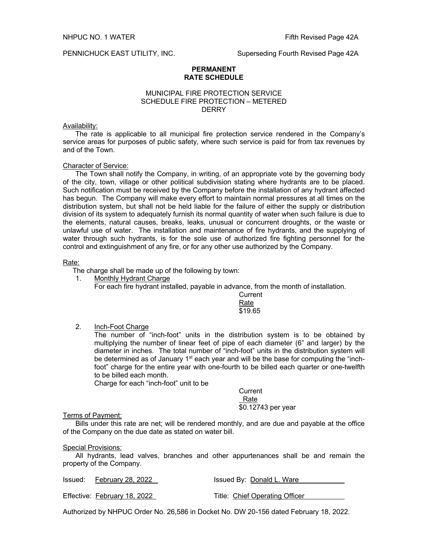## **PERMANENT RATE SCHEDULE**

# MUNICIPAL FIRE PROTECTION SERVICE SCHEDULE FIRE PROTECTION – METERED **DERRY**

# Availability:

The rate is applicable to all municipal fire protection service rendered in the Company's service areas for purposes of public safety, where such service is paid for from tax revenues by and of the Town.

# Character of Service:

The Town shall notify the Company, in writing, of an appropriate vote by the governing body of the city, town, village or other political subdivision stating where hydrants are to be placed. Such notification must be received by the Company before the installation of any hydrant affected has begun. The Company will make every effort to maintain normal pressures at all times on the distribution system, but shall not be held liable for the failure of either the supply or distribution division of its system to adequately furnish its normal quantity of water when such failure is due to the elements, natural causes, breaks, leaks, unusual or concurrent droughts, or the waste or unlawful use of water. The installation and maintenance of fire hydrants, and the supplying of water through such hydrants, is for the sole use of authorized fire fighting personnel for the control and extinguishment of any fire, or for any other use authorized by the Company.

# Rate:

The charge shall be made up of the following by town:

1. Monthly Hydrant Charge

For each fire hydrant installed, payable in advance, from the month of installation.

**Current** Rate \$19.65

2. Inch-Foot Charge

The number of "inch-foot" units in the distribution system is to be obtained by multiplying the number of linear feet of pipe of each diameter (6" and larger) by the diameter in inches. The total number of "inch-foot" units in the distribution system will be determined as of January  $1<sup>st</sup>$  each year and will be the base for computing the "inchfoot" charge for the entire year with one-fourth to be billed each quarter or one-twelfth to be billed each month.

Charge for each "inch-foot" unit to be

**Current**  Rate \$0.12743 per year

# Terms of Payment:

Bills under this rate are net; will be rendered monthly, and are due and payable at the office of the Company on the due date as stated on water bill.

# Special Provisions:

All hydrants, lead valves, branches and other appurtenances shall be and remain the property of the Company.

| Issued: February 28, 2022    | Issued By: Donald L. Ware      |
|------------------------------|--------------------------------|
| Effective: February 18, 2022 | Title: Chief Operating Officer |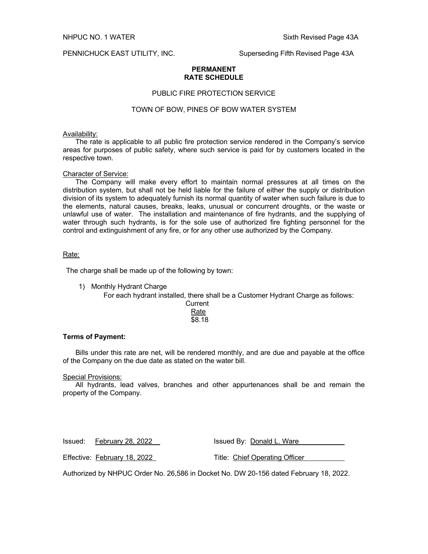PENNICHUCK EAST UTILITY, INC. Superseding Fifth Revised Page 43A

# **PERMANENT RATE SCHEDULE**

# PUBLIC FIRE PROTECTION SERVICE

# TOWN OF BOW, PINES OF BOW WATER SYSTEM

## Availability:

The rate is applicable to all public fire protection service rendered in the Company's service areas for purposes of public safety, where such service is paid for by customers located in the respective town.

# Character of Service:

The Company will make every effort to maintain normal pressures at all times on the distribution system, but shall not be held liable for the failure of either the supply or distribution division of its system to adequately furnish its normal quantity of water when such failure is due to the elements, natural causes, breaks, leaks, unusual or concurrent droughts, or the waste or unlawful use of water. The installation and maintenance of fire hydrants, and the supplying of water through such hydrants, is for the sole use of authorized fire fighting personnel for the control and extinguishment of any fire, or for any other use authorized by the Company.

## Rate:

The charge shall be made up of the following by town:

1) Monthly Hydrant Charge

For each hydrant installed, there shall be a Customer Hydrant Charge as follows:

**Current** Rate \$8.18

# **Terms of Payment:**

Bills under this rate are net, will be rendered monthly, and are due and payable at the office of the Company on the due date as stated on the water bill.

Special Provisions:

All hydrants, lead valves, branches and other appurtenances shall be and remain the property of the Company.

| Issued: February 28, 2022    | Issued By: Donald L. Ware      |
|------------------------------|--------------------------------|
| Effective: February 18, 2022 | Title: Chief Operating Officer |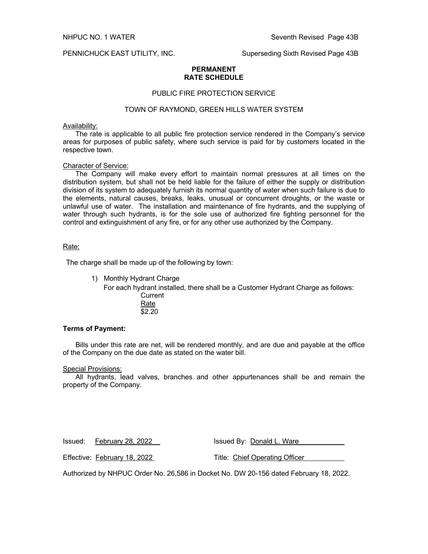PENNICHUCK EAST UTILITY, INC. Superseding Sixth Revised Page 43B

## **PERMANENT RATE SCHEDULE**

# PUBLIC FIRE PROTECTION SERVICE

# TOWN OF RAYMOND, GREEN HILLS WATER SYSTEM

## Availability:

The rate is applicable to all public fire protection service rendered in the Company's service areas for purposes of public safety, where such service is paid for by customers located in the respective town.

#### Character of Service:

The Company will make every effort to maintain normal pressures at all times on the distribution system, but shall not be held liable for the failure of either the supply or distribution division of its system to adequately furnish its normal quantity of water when such failure is due to the elements, natural causes, breaks, leaks, unusual or concurrent droughts, or the waste or unlawful use of water. The installation and maintenance of fire hydrants, and the supplying of water through such hydrants, is for the sole use of authorized fire fighting personnel for the control and extinguishment of any fire, or for any other use authorized by the Company.

# Rate:

The charge shall be made up of the following by town:

1) Monthly Hydrant Charge

For each hydrant installed, there shall be a Customer Hydrant Charge as follows: **Current** 

> Rate  $\overline{$2.20}$

## **Terms of Payment:**

Bills under this rate are net, will be rendered monthly, and are due and payable at the office of the Company on the due date as stated on the water bill.

#### Special Provisions:

All hydrants, lead valves, branches and other appurtenances shall be and remain the property of the Company.

Issued: February 28, 2022 Issued By: Donald L. Ware

Effective: February 18, 2022 Title: Chief Operating Officer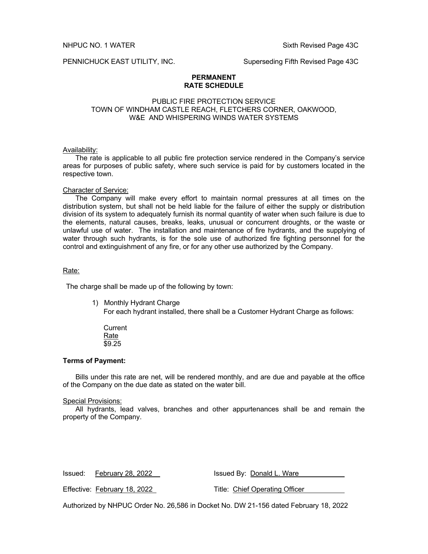PENNICHUCK EAST UTILITY, INC. Superseding Fifth Revised Page 43C

# **PERMANENT RATE SCHEDULE**

# PUBLIC FIRE PROTECTION SERVICE TOWN OF WINDHAM CASTLE REACH, FLETCHERS CORNER, OAKWOOD, W&E AND WHISPERING WINDS WATER SYSTEMS

## Availability:

The rate is applicable to all public fire protection service rendered in the Company's service areas for purposes of public safety, where such service is paid for by customers located in the respective town.

## Character of Service:

The Company will make every effort to maintain normal pressures at all times on the distribution system, but shall not be held liable for the failure of either the supply or distribution division of its system to adequately furnish its normal quantity of water when such failure is due to the elements, natural causes, breaks, leaks, unusual or concurrent droughts, or the waste or unlawful use of water. The installation and maintenance of fire hydrants, and the supplying of water through such hydrants, is for the sole use of authorized fire fighting personnel for the control and extinguishment of any fire, or for any other use authorized by the Company.

# Rate:

The charge shall be made up of the following by town:

1) Monthly Hydrant Charge

For each hydrant installed, there shall be a Customer Hydrant Charge as follows:

**Current** Rate \$9.25

# **Terms of Payment:**

Bills under this rate are net, will be rendered monthly, and are due and payable at the office of the Company on the due date as stated on the water bill.

## Special Provisions:

All hydrants, lead valves, branches and other appurtenances shall be and remain the property of the Company.

| Issued: February 28, 2022    | Issued By: Donald L. Ware      |
|------------------------------|--------------------------------|
| Effective: February 18, 2022 | Title: Chief Operating Officer |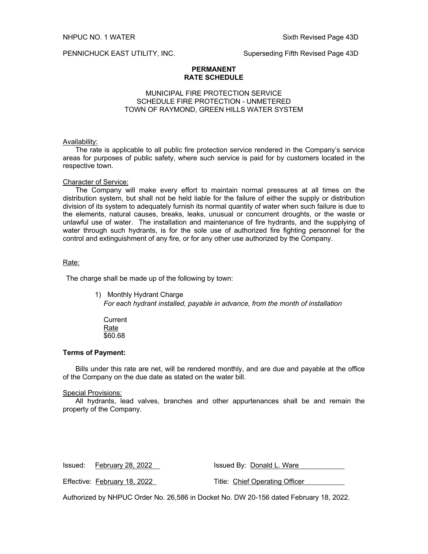PENNICHUCK EAST UTILITY, INC. Superseding Fifth Revised Page 43D

## **PERMANENT RATE SCHEDULE**

# MUNICIPAL FIRE PROTECTION SERVICE SCHEDULE FIRE PROTECTION - UNMETERED TOWN OF RAYMOND, GREEN HILLS WATER SYSTEM

## Availability:

The rate is applicable to all public fire protection service rendered in the Company's service areas for purposes of public safety, where such service is paid for by customers located in the respective town.

## Character of Service:

The Company will make every effort to maintain normal pressures at all times on the distribution system, but shall not be held liable for the failure of either the supply or distribution division of its system to adequately furnish its normal quantity of water when such failure is due to the elements, natural causes, breaks, leaks, unusual or concurrent droughts, or the waste or unlawful use of water. The installation and maintenance of fire hydrants, and the supplying of water through such hydrants, is for the sole use of authorized fire fighting personnel for the control and extinguishment of any fire, or for any other use authorized by the Company.

## Rate:

The charge shall be made up of the following by town:

- 1) Monthly Hydrant Charge *For each hydrant installed, payable in advance, from the month of installation*
	- **Current** Rate \$60.68

# **Terms of Payment:**

Bills under this rate are net, will be rendered monthly, and are due and payable at the office of the Company on the due date as stated on the water bill.

# Special Provisions:

All hydrants, lead valves, branches and other appurtenances shall be and remain the property of the Company.

| Issued: February 28, 2022    | Issued By: Donald L. Ware      |
|------------------------------|--------------------------------|
| Effective: February 18, 2022 | Title: Chief Operating Officer |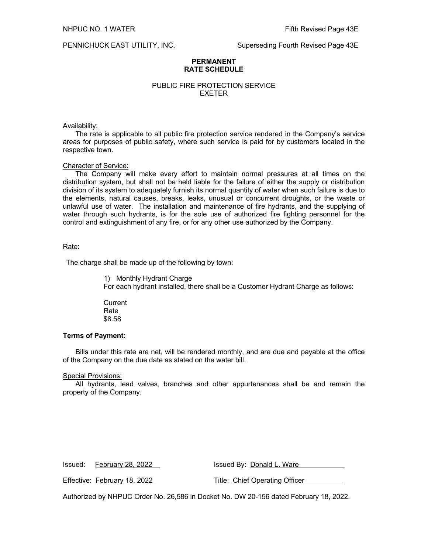PENNICHUCK EAST UTILITY, INC. Superseding Fourth Revised Page 43E

# **PERMANENT RATE SCHEDULE**

# PUBLIC FIRE PROTECTION SERVICE EXETER

# Availability:

The rate is applicable to all public fire protection service rendered in the Company's service areas for purposes of public safety, where such service is paid for by customers located in the respective town.

# Character of Service:

The Company will make every effort to maintain normal pressures at all times on the distribution system, but shall not be held liable for the failure of either the supply or distribution division of its system to adequately furnish its normal quantity of water when such failure is due to the elements, natural causes, breaks, leaks, unusual or concurrent droughts, or the waste or unlawful use of water. The installation and maintenance of fire hydrants, and the supplying of water through such hydrants, is for the sole use of authorized fire fighting personnel for the control and extinguishment of any fire, or for any other use authorized by the Company.

# Rate:

The charge shall be made up of the following by town:

1) Monthly Hydrant Charge

For each hydrant installed, there shall be a Customer Hydrant Charge as follows:

**Current** Rate \$8.58

# **Terms of Payment:**

Bills under this rate are net, will be rendered monthly, and are due and payable at the office of the Company on the due date as stated on the water bill.

# Special Provisions:

All hydrants, lead valves, branches and other appurtenances shall be and remain the property of the Company.

| Issued: February 28, 2022    | Issued By: Donald L. Ware      |
|------------------------------|--------------------------------|
| Effective: February 18, 2022 | Title: Chief Operating Officer |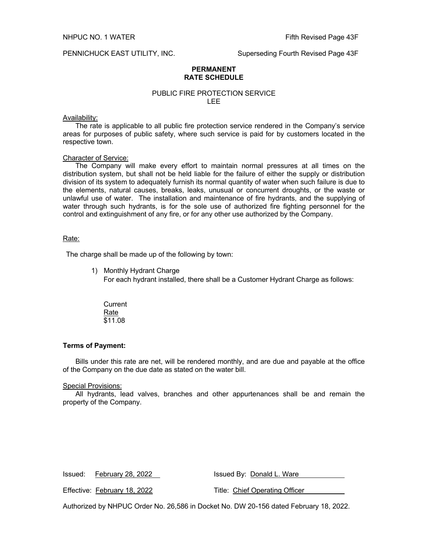## PENNICHUCK EAST UTILITY, INC. Superseding Fourth Revised Page 43F

## **PERMANENT RATE SCHEDULE**

# PUBLIC FIRE PROTECTION SERVICE LEE

## Availability:

The rate is applicable to all public fire protection service rendered in the Company's service areas for purposes of public safety, where such service is paid for by customers located in the respective town.

## Character of Service:

The Company will make every effort to maintain normal pressures at all times on the distribution system, but shall not be held liable for the failure of either the supply or distribution division of its system to adequately furnish its normal quantity of water when such failure is due to the elements, natural causes, breaks, leaks, unusual or concurrent droughts, or the waste or unlawful use of water. The installation and maintenance of fire hydrants, and the supplying of water through such hydrants, is for the sole use of authorized fire fighting personnel for the control and extinguishment of any fire, or for any other use authorized by the Company.

# Rate:

The charge shall be made up of the following by town:

1) Monthly Hydrant Charge

For each hydrant installed, there shall be a Customer Hydrant Charge as follows:

**Current** Rate \$11.08

## **Terms of Payment:**

Bills under this rate are net, will be rendered monthly, and are due and payable at the office of the Company on the due date as stated on the water bill.

#### Special Provisions:

All hydrants, lead valves, branches and other appurtenances shall be and remain the property of the Company.

| Issued: February 28, 2022    | Issued By: Donald L. Ware                                                             |
|------------------------------|---------------------------------------------------------------------------------------|
| Effective: February 18, 2022 | Title: Chief Operating Officer                                                        |
|                              | Authorized by NHPUC Order No. 26,586 in Docket No. DW 20-156 dated February 18, 2022. |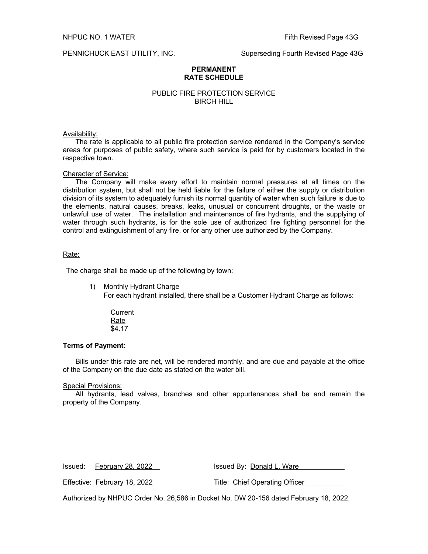PENNICHUCK EAST UTILITY, INC. Superseding Fourth Revised Page 43G

## **PERMANENT RATE SCHEDULE**

# PUBLIC FIRE PROTECTION SERVICE BIRCH HILL

## Availability:

The rate is applicable to all public fire protection service rendered in the Company's service areas for purposes of public safety, where such service is paid for by customers located in the respective town.

## Character of Service:

The Company will make every effort to maintain normal pressures at all times on the distribution system, but shall not be held liable for the failure of either the supply or distribution division of its system to adequately furnish its normal quantity of water when such failure is due to the elements, natural causes, breaks, leaks, unusual or concurrent droughts, or the waste or unlawful use of water. The installation and maintenance of fire hydrants, and the supplying of water through such hydrants, is for the sole use of authorized fire fighting personnel for the control and extinguishment of any fire, or for any other use authorized by the Company.

## Rate:

The charge shall be made up of the following by town:

- 1) Monthly Hydrant Charge For each hydrant installed, there shall be a Customer Hydrant Charge as follows:
	- **Current** Rate \$4.17

## **Terms of Payment:**

Bills under this rate are net, will be rendered monthly, and are due and payable at the office of the Company on the due date as stated on the water bill.

#### Special Provisions:

All hydrants, lead valves, branches and other appurtenances shall be and remain the property of the Company.

| Issued: February 28, 2022    | Issued By: Donald L. Ware      |
|------------------------------|--------------------------------|
|                              |                                |
| Effective: February 18, 2022 | Title: Chief Operating Officer |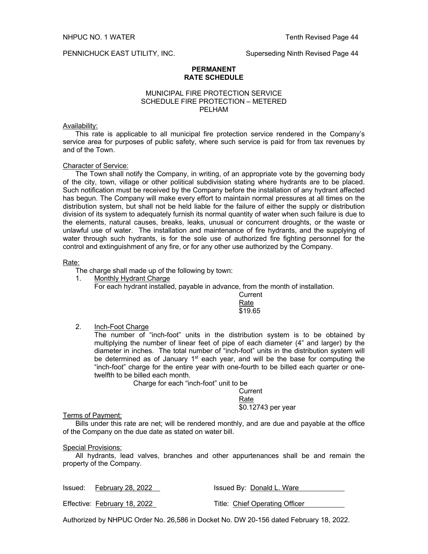#### **PERMANENT RATE SCHEDULE**

# MUNICIPAL FIRE PROTECTION SERVICE SCHEDULE FIRE PROTECTION – METERED PELHAM

# Availability:

This rate is applicable to all municipal fire protection service rendered in the Company's service area for purposes of public safety, where such service is paid for from tax revenues by and of the Town.

## Character of Service:

The Town shall notify the Company, in writing, of an appropriate vote by the governing body of the city, town, village or other political subdivision stating where hydrants are to be placed. Such notification must be received by the Company before the installation of any hydrant affected has begun. The Company will make every effort to maintain normal pressures at all times on the distribution system, but shall not be held liable for the failure of either the supply or distribution division of its system to adequately furnish its normal quantity of water when such failure is due to the elements, natural causes, breaks, leaks, unusual or concurrent droughts, or the waste or unlawful use of water. The installation and maintenance of fire hydrants, and the supplying of water through such hydrants, is for the sole use of authorized fire fighting personnel for the control and extinguishment of any fire, or for any other use authorized by the Company.

## Rate:

The charge shall made up of the following by town:

1. Monthly Hydrant Charge

For each hydrant installed, payable in advance, from the month of installation.

**Current** Rate \$19.65

2. Inch-Foot Charge

The number of "inch-foot" units in the distribution system is to be obtained by multiplying the number of linear feet of pipe of each diameter (4" and larger) by the diameter in inches. The total number of "inch-foot" units in the distribution system will be determined as of January  $1<sup>st</sup>$  each year, and will be the base for computing the "inch-foot" charge for the entire year with one-fourth to be billed each quarter or onetwelfth to be billed each month.

Charge for each "inch-foot" unit to be

**Current** Rate \$0.12743 per year

Terms of Payment:

Bills under this rate are net; will be rendered monthly, and are due and payable at the office of the Company on the due date as stated on water bill.

## Special Provisions:

All hydrants, lead valves, branches and other appurtenances shall be and remain the property of the Company.

| Issued: February 28, 2022    | Issued By: Donald L. Ware      |
|------------------------------|--------------------------------|
| Effective: February 18, 2022 | Title: Chief Operating Officer |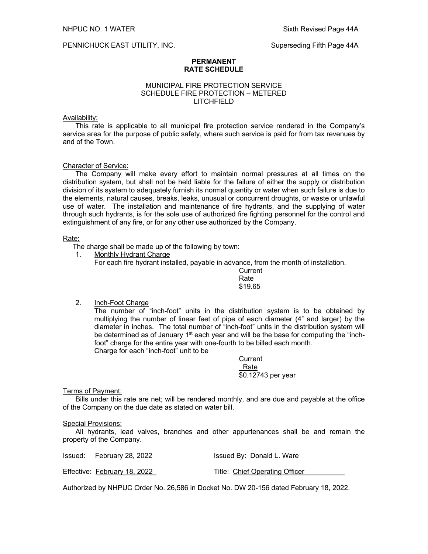PENNICHUCK EAST UTILITY, INC. Superseding Fifth Page 44A

# **PERMANENT RATE SCHEDULE**

# MUNICIPAL FIRE PROTECTION SERVICE SCHEDULE FIRE PROTECTION – METERED LITCHFIELD

# Availability:

This rate is applicable to all municipal fire protection service rendered in the Company's service area for the purpose of public safety, where such service is paid for from tax revenues by and of the Town.

# Character of Service:

The Company will make every effort to maintain normal pressures at all times on the distribution system, but shall not be held liable for the failure of either the supply or distribution division of its system to adequately furnish its normal quantity or water when such failure is due to the elements, natural causes, breaks, leaks, unusual or concurrent droughts, or waste or unlawful use of water. The installation and maintenance of fire hydrants, and the supplying of water through such hydrants, is for the sole use of authorized fire fighting personnel for the control and extinguishment of any fire, or for any other use authorized by the Company.

# Rate:

The charge shall be made up of the following by town:

1. Monthly Hydrant Charge

For each fire hydrant installed, payable in advance, from the month of installation.

**Current** Rate \$19.65

2. Inch-Foot Charge

The number of "inch-foot" units in the distribution system is to be obtained by multiplying the number of linear feet of pipe of each diameter (4" and larger) by the diameter in inches. The total number of "inch-foot" units in the distribution system will be determined as of January 1<sup>st</sup> each year and will be the base for computing the "inchfoot" charge for the entire year with one-fourth to be billed each month. Charge for each "inch-foot" unit to be

> **Current**  Rate \$0.12743 per year

# Terms of Payment:

Bills under this rate are net; will be rendered monthly, and are due and payable at the office of the Company on the due date as stated on water bill.

# Special Provisions:

All hydrants, lead valves, branches and other appurtenances shall be and remain the property of the Company.

| Issued: February 28, 2022    | Issued By: Donald L. Ware      |
|------------------------------|--------------------------------|
| Effective: February 18, 2022 | Title: Chief Operating Officer |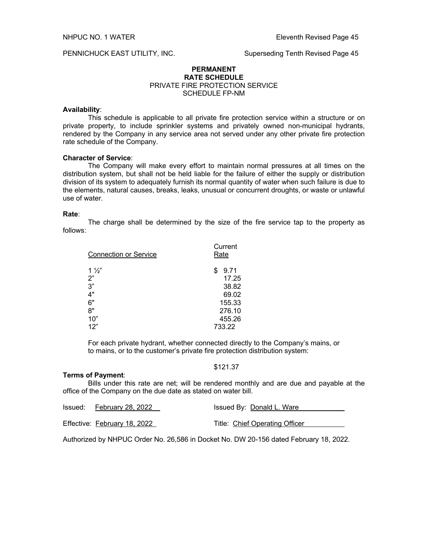# PENNICHUCK EAST UTILITY, INC. Superseding Tenth Revised Page 45

# **PERMANENT RATE SCHEDULE** PRIVATE FIRE PROTECTION SERVICE SCHEDULE FP-NM

## **Availability**:

This schedule is applicable to all private fire protection service within a structure or on private property, to include sprinkler systems and privately owned non-municipal hydrants, rendered by the Company in any service area not served under any other private fire protection rate schedule of the Company.

# **Character of Service**:

The Company will make every effort to maintain normal pressures at all times on the distribution system, but shall not be held liable for the failure of either the supply or distribution division of its system to adequately furnish its normal quantity of water when such failure is due to the elements, natural causes, breaks, leaks, unusual or concurrent droughts, or waste or unlawful use of water.

#### **Rate**:

The charge shall be determined by the size of the fire service tap to the property as follows:

| <b>Connection or Service</b>     | Current<br>Rate                       |  |
|----------------------------------|---------------------------------------|--|
| $1\frac{1}{2}$<br>2"<br>3"<br>4" | \$<br>9.71<br>17.25<br>38.82<br>69.02 |  |
| 6"                               | 155.33                                |  |
| 8"                               | 276.10                                |  |
| 10"                              | 455.26                                |  |
| 12"                              | 733.22                                |  |

For each private hydrant, whether connected directly to the Company's mains, or to mains, or to the customer's private fire protection distribution system:

# \$121.37

# **Terms of Payment**:

Bills under this rate are net; will be rendered monthly and are due and payable at the office of the Company on the due date as stated on water bill.

| Issued: February 28, 2022    | Issued By: Donald L. Ware      |
|------------------------------|--------------------------------|
| Effective: February 18, 2022 | Title: Chief Operating Officer |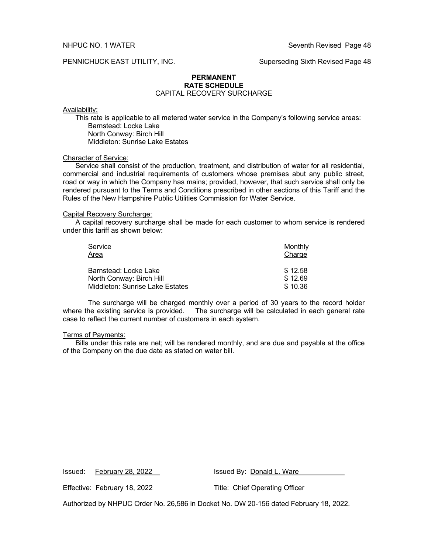# PENNICHUCK EAST UTILITY, INC. Superseding Sixth Revised Page 48

# **PERMANENT RATE SCHEDULE**

# CAPITAL RECOVERY SURCHARGE

## Availability:

This rate is applicable to all metered water service in the Company's following service areas: Barnstead: Locke Lake North Conway: Birch Hill

Middleton: Sunrise Lake Estates

# Character of Service:

Service shall consist of the production, treatment, and distribution of water for all residential, commercial and industrial requirements of customers whose premises abut any public street, road or way in which the Company has mains; provided, however, that such service shall only be rendered pursuant to the Terms and Conditions prescribed in other sections of this Tariff and the Rules of the New Hampshire Public Utilities Commission for Water Service.

## Capital Recovery Surcharge:

A capital recovery surcharge shall be made for each customer to whom service is rendered under this tariff as shown below:

| Service<br>Area                        | Monthly<br>Charge |
|----------------------------------------|-------------------|
| Barnstead: Locke Lake                  | \$12.58           |
| North Conway: Birch Hill               | \$12.69           |
| <b>Middleton: Sunrise Lake Estates</b> | \$10.36           |

The surcharge will be charged monthly over a period of 30 years to the record holder where the existing service is provided. The surcharge will be calculated in each general rate case to reflect the current number of customers in each system.

## Terms of Payments:

Bills under this rate are net; will be rendered monthly, and are due and payable at the office of the Company on the due date as stated on water bill.

Issued By: Donald L. Ware

Effective: February 18, 2022 Title: Chief Operating Officer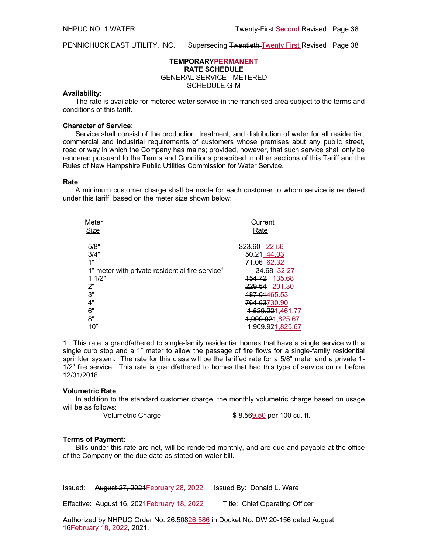PENNICHUCK EAST UTILITY, INC. Superseding Twentieth Twenty First Revised Page 38

# **TEMPORARYPERMANENT**

**RATE SCHEDULE** GENERAL SERVICE - METERED

SCHEDULE G-M

# **Availability**:

The rate is available for metered water service in the franchised area subject to the terms and conditions of this tariff.

# **Character of Service**:

Service shall consist of the production, treatment, and distribution of water for all residential, commercial and industrial requirements of customers whose premises abut any public street, road or way in which the Company has mains; provided, however, that such service shall only be rendered pursuant to the Terms and Conditions prescribed in other sections of this Tariff and the Rules of New Hampshire Public Utilities Commission for Water Service.

# **Rate**:

A minimum customer charge shall be made for each customer to whom service is rendered under this tariff, based on the meter size shown below:

| Meter                                                       | Current                     |
|-------------------------------------------------------------|-----------------------------|
| <b>Size</b>                                                 | Rate                        |
| 5/8"                                                        | \$23.60<br>22.56            |
| 3/4"                                                        | 50.21 44.03                 |
| 1"                                                          | 71.06 62.32                 |
| 1" meter with private residential fire service <sup>1</sup> | 34.68 32.27                 |
| 11/2"                                                       | <del>154.72</del><br>135.68 |
| 2"                                                          | 229.54 201.30               |
| 3"                                                          | 487.01465.53                |
| 4"                                                          | 764.63730.90                |
| 6"                                                          | 1,529.221,461.77            |
| 8"                                                          | 009.921,825.67,             |
| 10"                                                         | <del>909.92</del> 1,825.67  |

1.This rate is grandfathered to single-family residential homes that have a single service with a single curb stop and a 1" meter to allow the passage of fire flows for a single-family residential sprinkler system. The rate for this class will be the tariffed rate for a 5/8" meter and a private 1- 1/2" fire service. This rate is grandfathered to homes that had this type of service on or before 12/31/2018.

# **Volumetric Rate**:

In addition to the standard customer charge, the monthly volumetric charge based on usage will be as follows:

Volumetric Charge:  $$ 8.569.50$  per 100 cu. ft.

# **Terms of Payment**:

Bills under this rate are net, will be rendered monthly, and are due and payable at the office of the Company on the due date as stated on water bill.

| Issued: August 27, 2021 February 28, 2022 Issued By: Donald L. Ware |                                |
|---------------------------------------------------------------------|--------------------------------|
| Effective: August 16, 2021 February 18, 2022                        | Title: Chief Operating Officer |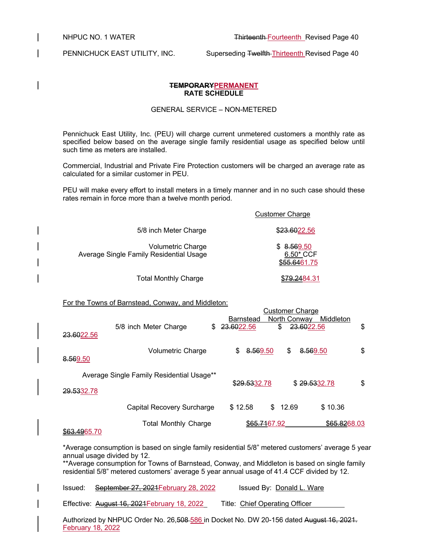PENNICHUCK EAST UTILITY, INC. Superseding Twelfth Thirteenth Revised Page 40

# **TEMPORARYPERMANENT RATE SCHEDULE**

# GENERAL SERVICE – NON-METERED

Pennichuck East Utility, Inc. (PEU) will charge current unmetered customers a monthly rate as specified below based on the average single family residential usage as specified below until such time as meters are installed.

Commercial, Industrial and Private Fire Protection customers will be charged an average rate as calculated for a similar customer in PEU.

PEU will make every effort to install meters in a timely manner and in no such case should these rates remain in force more than a twelve month period.

|                                                              | <b>Customer Charge</b>                  |
|--------------------------------------------------------------|-----------------------------------------|
| 5/8 inch Meter Charge                                        | \$23.6022.56                            |
| Volumetric Charge<br>Average Single Family Residential Usage | \$8.569.50<br>6.50* CCF<br>\$55.6461.75 |
| <b>Total Monthly Charge</b>                                  | 5 <del>79.24</del> 84.31                |

# For the Towns of Barnstead, Conway, and Middleton:

|            |                                           | <b>Customer Charge</b>                        |    |
|------------|-------------------------------------------|-----------------------------------------------|----|
|            |                                           | North Conway<br>Middleton<br><b>Barnstead</b> |    |
|            | 5/8 inch Meter Charge<br>S.               | 23.6022.56<br>\$<br>23.6022.56                | \$ |
| 23.6022.56 |                                           |                                               |    |
|            | <b>Volumetric Charge</b>                  | \$<br>8.569.50<br>S<br>8.569.50               | \$ |
| 8.569.50   |                                           |                                               |    |
|            | Average Single Family Residential Usage** |                                               |    |
| 29.5332.78 |                                           | \$29.5332.78<br>\$29.5332.78                  | \$ |
|            |                                           |                                               |    |
|            | Capital Recovery Surcharge                | \$12.58<br>12.69<br>\$10.36<br>\$.            |    |
|            | <b>Total Monthly Charge</b>               | \$65,8268.03<br>\$ <del>65.71</del> 67.92     |    |

# \$63.4965.70

\*Average consumption is based on single family residential 5/8" metered customers' average 5 year annual usage divided by 12.

\*\*Average consumption for Towns of Barnstead, Conway, and Middleton is based on single family residential 5/8" metered customers' average 5 year annual usage of 41.4 CCF divided by 12.

| Issued: | September 27, 2021 February 28, 2022         | Issued By: Donald L. Ware      |
|---------|----------------------------------------------|--------------------------------|
|         | Effective: August 16, 2021 February 18, 2022 | Title: Chief Operating Officer |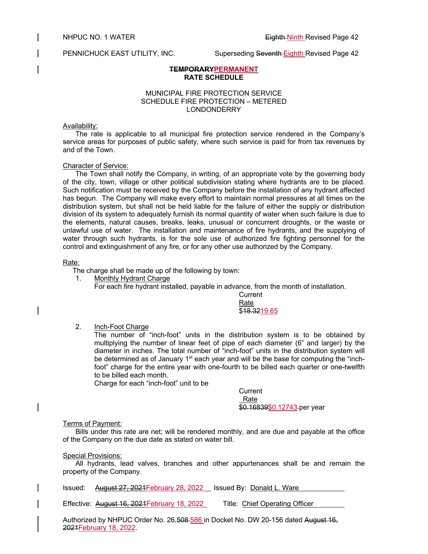PENNICHUCK EAST UTILITY, INC. Superseding Seventh Eighth Revised Page 42

# **TEMPORARYPERMANENT RATE SCHEDULE**

# MUNICIPAL FIRE PROTECTION SERVICE SCHEDULE FIRE PROTECTION – METERED LONDONDERRY

# Availability:

The rate is applicable to all municipal fire protection service rendered in the Company's service areas for purposes of public safety, where such service is paid for from tax revenues by and of the Town.

# Character of Service:

The Town shall notify the Company, in writing, of an appropriate vote by the governing body of the city, town, village or other political subdivision stating where hydrants are to be placed. Such notification must be received by the Company before the installation of any hydrant affected has begun. The Company will make every effort to maintain normal pressures at all times on the distribution system, but shall not be held liable for the failure of either the supply or distribution division of its system to adequately furnish its normal quantity of water when such failure is due to the elements, natural causes, breaks, leaks, unusual or concurrent droughts, or the waste or unlawful use of water. The installation and maintenance of fire hydrants, and the supplying of water through such hydrants, is for the sole use of authorized fire fighting personnel for the control and extinguishment of any fire, or for any other use authorized by the Company.

# Rate:

The charge shall be made up of the following by town:

1. Monthly Hydrant Charge

For each fire hydrant installed, payable in advance, from the month of installation.

**Current** Rate \$18,3219.65

2. Inch-Foot Charge

The number of "inch-foot" units in the distribution system is to be obtained by multiplying the number of linear feet of pipe of each diameter (6" and larger) by the diameter in inches. The total number of "inch-foot" units in the distribution system will be determined as of January  $1<sup>st</sup>$  each year and will be the base for computing the "inchfoot" charge for the entire year with one-fourth to be billed each quarter or one-twelfth to be billed each month.

Charge for each "inch-foot" unit to be

**Current**  Rate \$0.16839\$0.12743 per year

# Terms of Payment:

Bills under this rate are net; will be rendered monthly, and are due and payable at the office of the Company on the due date as stated on water bill.

# Special Provisions:

All hydrants, lead valves, branches and other appurtenances shall be and remain the property of the Company.

Issued: August 27, 2021 February 28, 2022 | Issued By: Donald L. Ware

Effective: August 16, 2021February 18, 2022 Title: Chief Operating Officer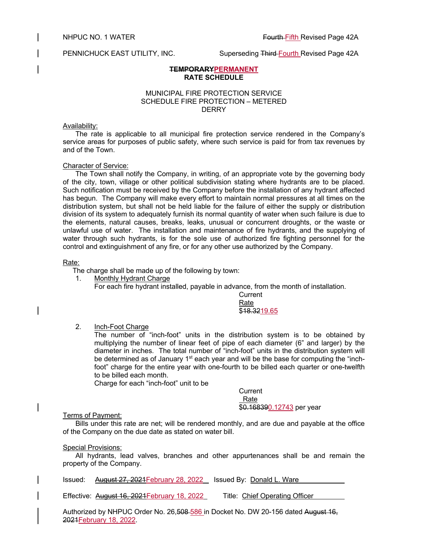# **TEMPORARYPERMANENT RATE SCHEDULE**

# MUNICIPAL FIRE PROTECTION SERVICE SCHEDULE FIRE PROTECTION – METERED **DERRY**

# Availability:

The rate is applicable to all municipal fire protection service rendered in the Company's service areas for purposes of public safety, where such service is paid for from tax revenues by and of the Town.

# Character of Service:

The Town shall notify the Company, in writing, of an appropriate vote by the governing body of the city, town, village or other political subdivision stating where hydrants are to be placed. Such notification must be received by the Company before the installation of any hydrant affected has begun. The Company will make every effort to maintain normal pressures at all times on the distribution system, but shall not be held liable for the failure of either the supply or distribution division of its system to adequately furnish its normal quantity of water when such failure is due to the elements, natural causes, breaks, leaks, unusual or concurrent droughts, or the waste or unlawful use of water. The installation and maintenance of fire hydrants, and the supplying of water through such hydrants, is for the sole use of authorized fire fighting personnel for the control and extinguishment of any fire, or for any other use authorized by the Company.

# Rate:

The charge shall be made up of the following by town:

1. Monthly Hydrant Charge

For each fire hydrant installed, payable in advance, from the month of installation.

**Current** Rate \$18,3219.65

2. Inch-Foot Charge

The number of "inch-foot" units in the distribution system is to be obtained by multiplying the number of linear feet of pipe of each diameter (6" and larger) by the diameter in inches. The total number of "inch-foot" units in the distribution system will be determined as of January  $1<sup>st</sup>$  each year and will be the base for computing the "inchfoot" charge for the entire year with one-fourth to be billed each quarter or one-twelfth to be billed each month.

Charge for each "inch-foot" unit to be

**Current**  Rate \$0.168390.12743 per year

# **Terms of Payment:**

Bills under this rate are net; will be rendered monthly, and are due and payable at the office of the Company on the due date as stated on water bill.

# Special Provisions:

All hydrants, lead valves, branches and other appurtenances shall be and remain the property of the Company.

Issued: August 27, 2021February 28, 2022 Issued By: Donald L. Ware

Effective: **August 16, 2021 February 18, 2022** Title: Chief Operating Officer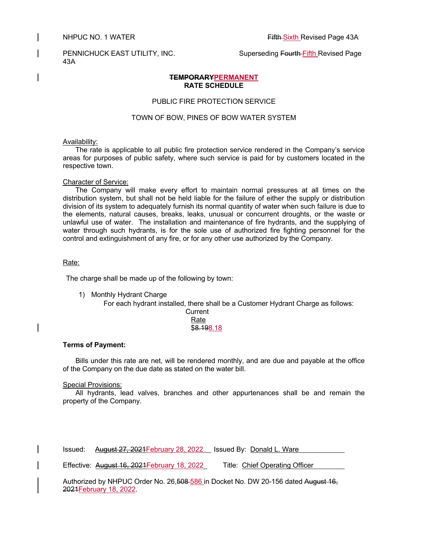43A

# PENNICHUCK EAST UTILITY, INC. Superseding Fourth Fifth Revised Page

# **TEMPORARYPERMANENT RATE SCHEDULE**

# PUBLIC FIRE PROTECTION SERVICE

# TOWN OF BOW, PINES OF BOW WATER SYSTEM

## Availability:

The rate is applicable to all public fire protection service rendered in the Company's service areas for purposes of public safety, where such service is paid for by customers located in the respective town.

## Character of Service:

The Company will make every effort to maintain normal pressures at all times on the distribution system, but shall not be held liable for the failure of either the supply or distribution division of its system to adequately furnish its normal quantity of water when such failure is due to the elements, natural causes, breaks, leaks, unusual or concurrent droughts, or the waste or unlawful use of water. The installation and maintenance of fire hydrants, and the supplying of water through such hydrants, is for the sole use of authorized fire fighting personnel for the control and extinguishment of any fire, or for any other use authorized by the Company.

## Rate:

The charge shall be made up of the following by town:

1) Monthly Hydrant Charge

For each hydrant installed, there shall be a Customer Hydrant Charge as follows: Current Rate  $\overline{$8.198.18}$ 

# **Terms of Payment:**

Bills under this rate are net, will be rendered monthly, and are due and payable at the office of the Company on the due date as stated on the water bill.

# Special Provisions:

All hydrants, lead valves, branches and other appurtenances shall be and remain the property of the Company.

Issued: August 27, 2021February 28, 2022 Issued By: Donald L. Ware

Effective: August 16, 2021February 18, 2022 Title: Chief Operating Officer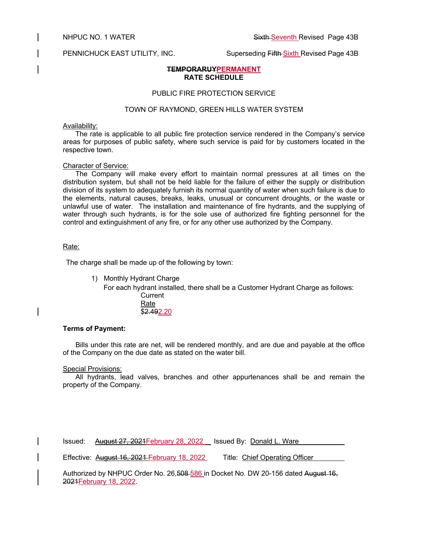PENNICHUCK EAST UTILITY, INC. Superseding Fifth Sixth Revised Page 43B

# **TEMPORARUYPERMANENT RATE SCHEDULE**

# PUBLIC FIRE PROTECTION SERVICE

# TOWN OF RAYMOND, GREEN HILLS WATER SYSTEM

## Availability:

The rate is applicable to all public fire protection service rendered in the Company's service areas for purposes of public safety, where such service is paid for by customers located in the respective town.

#### Character of Service:

The Company will make every effort to maintain normal pressures at all times on the distribution system, but shall not be held liable for the failure of either the supply or distribution division of its system to adequately furnish its normal quantity of water when such failure is due to the elements, natural causes, breaks, leaks, unusual or concurrent droughts, or the waste or unlawful use of water. The installation and maintenance of fire hydrants, and the supplying of water through such hydrants, is for the sole use of authorized fire fighting personnel for the control and extinguishment of any fire, or for any other use authorized by the Company.

# Rate:

The charge shall be made up of the following by town:

1) Monthly Hydrant Charge

For each hydrant installed, there shall be a Customer Hydrant Charge as follows: **Current** Rate

\$2.492.20

#### **Terms of Payment:**

Bills under this rate are net, will be rendered monthly, and are due and payable at the office of the Company on the due date as stated on the water bill.

Special Provisions:

All hydrants, lead valves, branches and other appurtenances shall be and remain the property of the Company.

Issued: August 27, 2021February 28, 2022 Issued By: Donald L. Ware

Effective: August 16, 2021 February 18, 2022 Title: Chief Operating Officer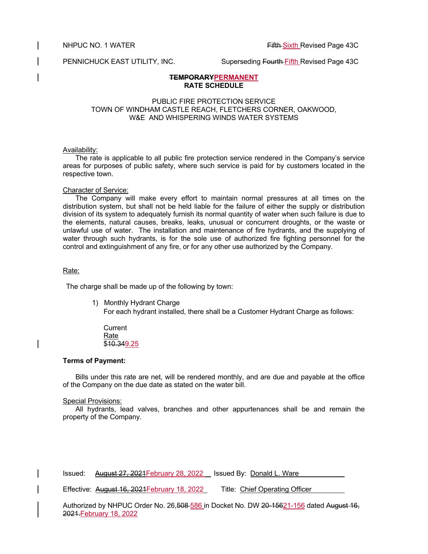NHPUC NO. 1 WATER **Fifth Sixth Revised Page 43C** 

PENNICHUCK EAST UTILITY, INC. Superseding Fourth Fifth Revised Page 43C

# **TEMPORARYPERMANENT RATE SCHEDULE**

# PUBLIC FIRE PROTECTION SERVICE TOWN OF WINDHAM CASTLE REACH, FLETCHERS CORNER, OAKWOOD, W&E AND WHISPERING WINDS WATER SYSTEMS

# Availability:

The rate is applicable to all public fire protection service rendered in the Company's service areas for purposes of public safety, where such service is paid for by customers located in the respective town.

# Character of Service:

The Company will make every effort to maintain normal pressures at all times on the distribution system, but shall not be held liable for the failure of either the supply or distribution division of its system to adequately furnish its normal quantity of water when such failure is due to the elements, natural causes, breaks, leaks, unusual or concurrent droughts, or the waste or unlawful use of water. The installation and maintenance of fire hydrants, and the supplying of water through such hydrants, is for the sole use of authorized fire fighting personnel for the control and extinguishment of any fire, or for any other use authorized by the Company.

# Rate:

The charge shall be made up of the following by town:

 1) Monthly Hydrant Charge For each hydrant installed, there shall be a Customer Hydrant Charge as follows:

**Current** Rate \$10.349.25

# **Terms of Payment:**

Bills under this rate are net, will be rendered monthly, and are due and payable at the office of the Company on the due date as stated on the water bill.

# Special Provisions:

All hydrants, lead valves, branches and other appurtenances shall be and remain the property of the Company.

Issued: August 27, 2021February 28, 2022 Issued By: Donald L. Ware

Effective: August 16, 2021February 18, 2022 Title: Chief Operating Officer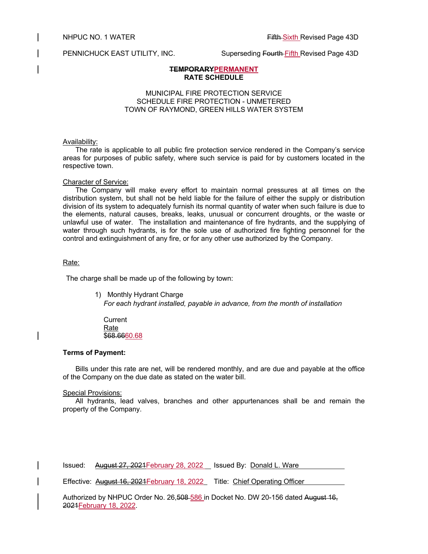PENNICHUCK EAST UTILITY, INC. Superseding Fourth Fifth Revised Page 43D

# **TEMPORARYPERMANENT RATE SCHEDULE**

# MUNICIPAL FIRE PROTECTION SERVICE SCHEDULE FIRE PROTECTION - UNMETERED TOWN OF RAYMOND, GREEN HILLS WATER SYSTEM

## Availability:

The rate is applicable to all public fire protection service rendered in the Company's service areas for purposes of public safety, where such service is paid for by customers located in the respective town.

## Character of Service:

The Company will make every effort to maintain normal pressures at all times on the distribution system, but shall not be held liable for the failure of either the supply or distribution division of its system to adequately furnish its normal quantity of water when such failure is due to the elements, natural causes, breaks, leaks, unusual or concurrent droughts, or the waste or unlawful use of water. The installation and maintenance of fire hydrants, and the supplying of water through such hydrants, is for the sole use of authorized fire fighting personnel for the control and extinguishment of any fire, or for any other use authorized by the Company.

## Rate:

The charge shall be made up of the following by town:

1) Monthly Hydrant Charge

*For each hydrant installed, payable in advance, from the month of installation*

**Current** Rate \$68.6660.68

# **Terms of Payment:**

Bills under this rate are net, will be rendered monthly, and are due and payable at the office of the Company on the due date as stated on the water bill.

# Special Provisions:

All hydrants, lead valves, branches and other appurtenances shall be and remain the property of the Company.

Issued: August 27, 2021 February 28, 2022 | Issued By: Donald L. Ware

Effective: **August 16, 2021 February 18, 2022** Title: Chief Operating Officer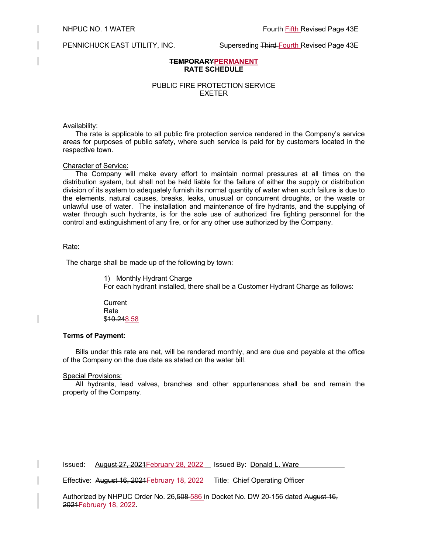PENNICHUCK EAST UTILITY, INC. Superseding Third Fourth Revised Page 43E

# **TEMPORARYPERMANENT RATE SCHEDULE**

# PUBLIC FIRE PROTECTION SERVICE EXETER

## Availability:

The rate is applicable to all public fire protection service rendered in the Company's service areas for purposes of public safety, where such service is paid for by customers located in the respective town.

#### Character of Service:

The Company will make every effort to maintain normal pressures at all times on the distribution system, but shall not be held liable for the failure of either the supply or distribution division of its system to adequately furnish its normal quantity of water when such failure is due to the elements, natural causes, breaks, leaks, unusual or concurrent droughts, or the waste or unlawful use of water. The installation and maintenance of fire hydrants, and the supplying of water through such hydrants, is for the sole use of authorized fire fighting personnel for the control and extinguishment of any fire, or for any other use authorized by the Company.

# Rate:

The charge shall be made up of the following by town:

1) Monthly Hydrant Charge For each hydrant installed, there shall be a Customer Hydrant Charge as follows:

**Current** Rate \$10.248.58

# **Terms of Payment:**

Bills under this rate are net, will be rendered monthly, and are due and payable at the office of the Company on the due date as stated on the water bill.

#### Special Provisions:

All hydrants, lead valves, branches and other appurtenances shall be and remain the property of the Company.

Issued: August 27, 2021February 28, 2022 Issued By: Donald L. Ware

Effective: **August 16, 2021 February 18, 2022** Title: Chief Operating Officer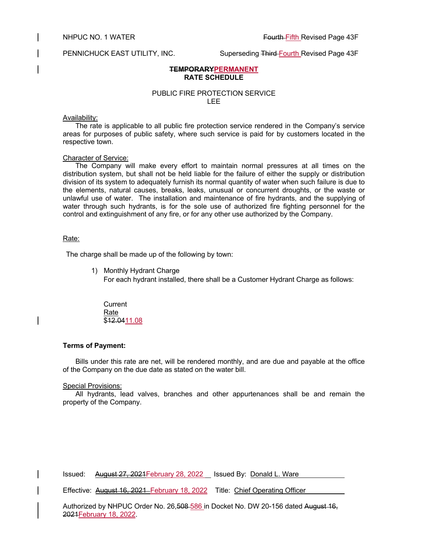PENNICHUCK EAST UTILITY, INC. Superseding Third-Fourth Revised Page 43F

# **TEMPORARYPERMANENT RATE SCHEDULE**

# PUBLIC FIRE PROTECTION SERVICE LEE

# Availability:

The rate is applicable to all public fire protection service rendered in the Company's service areas for purposes of public safety, where such service is paid for by customers located in the respective town.

# Character of Service:

The Company will make every effort to maintain normal pressures at all times on the distribution system, but shall not be held liable for the failure of either the supply or distribution division of its system to adequately furnish its normal quantity of water when such failure is due to the elements, natural causes, breaks, leaks, unusual or concurrent droughts, or the waste or unlawful use of water. The installation and maintenance of fire hydrants, and the supplying of water through such hydrants, is for the sole use of authorized fire fighting personnel for the control and extinguishment of any fire, or for any other use authorized by the Company.

# Rate:

The charge shall be made up of the following by town:

- 1) Monthly Hydrant Charge
	- For each hydrant installed, there shall be a Customer Hydrant Charge as follows:

**Current** Rate \$12.0411.08

# **Terms of Payment:**

Bills under this rate are net, will be rendered monthly, and are due and payable at the office of the Company on the due date as stated on the water bill.

# Special Provisions:

All hydrants, lead valves, branches and other appurtenances shall be and remain the property of the Company.

Issued: August 27, 2021 February 28, 2022 Issued By: Donald L. Ware

Effective: August 16, 2021 February 18, 2022 Title: Chief Operating Officer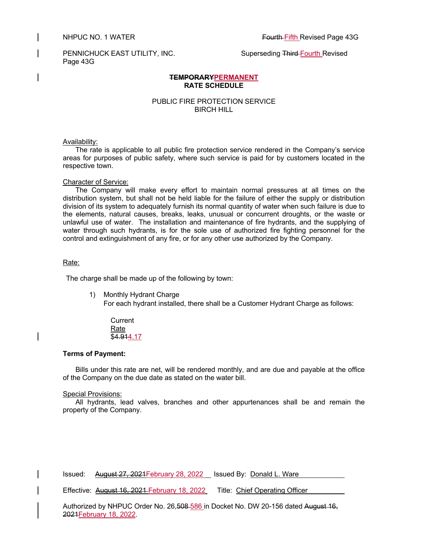PENNICHUCK EAST UTILITY, INC. Superseding Third-Fourth Revised Page 43G

# **TEMPORARYPERMANENT RATE SCHEDULE**

# PUBLIC FIRE PROTECTION SERVICE BIRCH HILL

## Availability:

The rate is applicable to all public fire protection service rendered in the Company's service areas for purposes of public safety, where such service is paid for by customers located in the respective town.

## Character of Service:

The Company will make every effort to maintain normal pressures at all times on the distribution system, but shall not be held liable for the failure of either the supply or distribution division of its system to adequately furnish its normal quantity of water when such failure is due to the elements, natural causes, breaks, leaks, unusual or concurrent droughts, or the waste or unlawful use of water. The installation and maintenance of fire hydrants, and the supplying of water through such hydrants, is for the sole use of authorized fire fighting personnel for the control and extinguishment of any fire, or for any other use authorized by the Company.

## Rate:

The charge shall be made up of the following by town:

1) Monthly Hydrant Charge For each hydrant installed, there shall be a Customer Hydrant Charge as follows:

**Current** Rate \$4.914.17

# **Terms of Payment:**

Bills under this rate are net, will be rendered monthly, and are due and payable at the office of the Company on the due date as stated on the water bill.

# Special Provisions:

All hydrants, lead valves, branches and other appurtenances shall be and remain the property of the Company.

| Issued: August 27, 2021 February 28, 2022 Issued By: Donald L. Ware |  |
|---------------------------------------------------------------------|--|
|                                                                     |  |

Effective: August 16, 2021 February 18, 2022 Title: Chief Operating Officer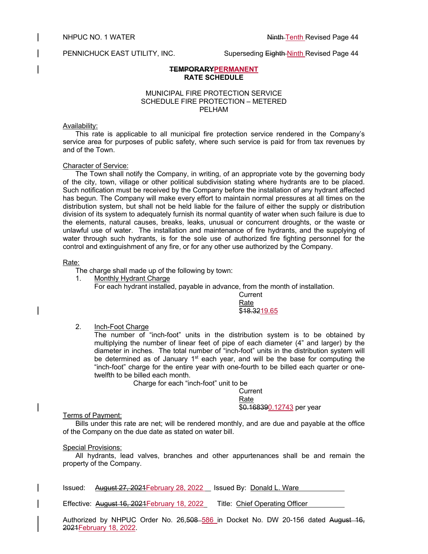## PENNICHUCK EAST UTILITY, INC. Superseding Eighth Ninth Revised Page 44

# **TEMPORARYPERMANENT RATE SCHEDULE**

# MUNICIPAL FIRE PROTECTION SERVICE SCHEDULE FIRE PROTECTION – METERED PELHAM

## Availability:

This rate is applicable to all municipal fire protection service rendered in the Company's service area for purposes of public safety, where such service is paid for from tax revenues by and of the Town.

## Character of Service:

The Town shall notify the Company, in writing, of an appropriate vote by the governing body of the city, town, village or other political subdivision stating where hydrants are to be placed. Such notification must be received by the Company before the installation of any hydrant affected has begun. The Company will make every effort to maintain normal pressures at all times on the distribution system, but shall not be held liable for the failure of either the supply or distribution division of its system to adequately furnish its normal quantity of water when such failure is due to the elements, natural causes, breaks, leaks, unusual or concurrent droughts, or the waste or unlawful use of water. The installation and maintenance of fire hydrants, and the supplying of water through such hydrants, is for the sole use of authorized fire fighting personnel for the control and extinguishment of any fire, or for any other use authorized by the Company.

#### Rate:

The charge shall made up of the following by town:

1. Monthly Hydrant Charge

For each hydrant installed, payable in advance, from the month of installation.

**Current** Rate \$18,3219.65

# 2. Inch-Foot Charge

The number of "inch-foot" units in the distribution system is to be obtained by multiplying the number of linear feet of pipe of each diameter (4" and larger) by the diameter in inches. The total number of "inch-foot" units in the distribution system will be determined as of January 1<sup>st</sup> each year, and will be the base for computing the "inch-foot" charge for the entire year with one-fourth to be billed each quarter or onetwelfth to be billed each month.

Charge for each "inch-foot" unit to be

**Current** Rate

# \$0.168390.12743 per year

Terms of Payment:

Bills under this rate are net; will be rendered monthly, and are due and payable at the office of the Company on the due date as stated on water bill.

# Special Provisions:

All hydrants, lead valves, branches and other appurtenances shall be and remain the property of the Company.

Issued: August 27, 2021 February 28, 2022 | Issued By: Donald L. Ware

Effective: August 16, 2021February 18, 2022 Title: Chief Operating Officer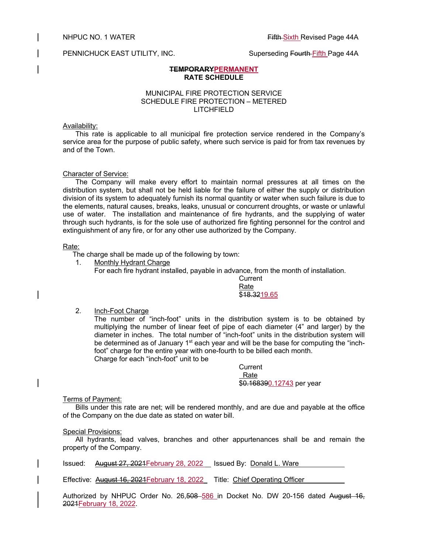PENNICHUCK EAST UTILITY, INC. Superseding Fourth Fifth Page 44A

## **TEMPORARYPERMANENT RATE SCHEDULE**

# MUNICIPAL FIRE PROTECTION SERVICE SCHEDULE FIRE PROTECTION – METERED LITCHFIELD

## Availability:

This rate is applicable to all municipal fire protection service rendered in the Company's service area for the purpose of public safety, where such service is paid for from tax revenues by and of the Town.

# Character of Service:

The Company will make every effort to maintain normal pressures at all times on the distribution system, but shall not be held liable for the failure of either the supply or distribution division of its system to adequately furnish its normal quantity or water when such failure is due to the elements, natural causes, breaks, leaks, unusual or concurrent droughts, or waste or unlawful use of water. The installation and maintenance of fire hydrants, and the supplying of water through such hydrants, is for the sole use of authorized fire fighting personnel for the control and extinguishment of any fire, or for any other use authorized by the Company.

#### Rate:

The charge shall be made up of the following by town:

1. Monthly Hydrant Charge

For each fire hydrant installed, payable in advance, from the month of installation.

**Current** Rate \$18,3219.65

2. Inch-Foot Charge

The number of "inch-foot" units in the distribution system is to be obtained by multiplying the number of linear feet of pipe of each diameter (4" and larger) by the diameter in inches. The total number of "inch-foot" units in the distribution system will be determined as of January 1<sup>st</sup> each year and will be the base for computing the "inchfoot" charge for the entire year with one-fourth to be billed each month. Charge for each "inch-foot" unit to be

> **Current**  Rate \$0.168390.12743 per year

# Terms of Payment:

Bills under this rate are net; will be rendered monthly, and are due and payable at the office of the Company on the due date as stated on water bill.

# **Special Provisions:**

All hydrants, lead valves, branches and other appurtenances shall be and remain the property of the Company.

Issued: August 27, 2021February 28, 2022 Issued By: Donald L. Ware

Effective: **August 16, 2021 February 18, 2022** Title: Chief Operating Officer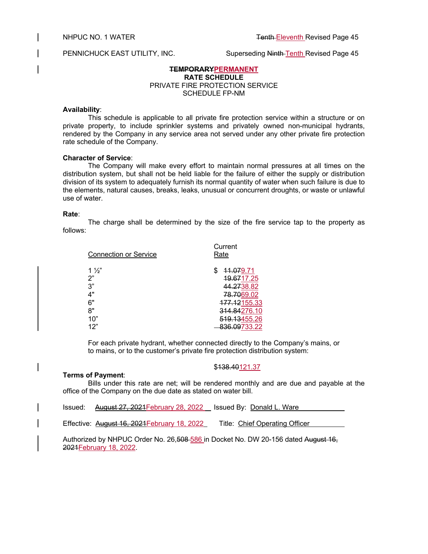PENNICHUCK EAST UTILITY, INC. Superseding Ninth Tenth Revised Page 45

# **TEMPORARYPERMANENT RATE SCHEDULE** PRIVATE FIRE PROTECTION SERVICE SCHEDULE FP-NM

### **Availability**:

This schedule is applicable to all private fire protection service within a structure or on private property, to include sprinkler systems and privately owned non-municipal hydrants, rendered by the Company in any service area not served under any other private fire protection rate schedule of the Company.

# **Character of Service**:

**Terms of Payment**:

The Company will make every effort to maintain normal pressures at all times on the distribution system, but shall not be held liable for the failure of either the supply or distribution division of its system to adequately furnish its normal quantity of water when such failure is due to the elements, natural causes, breaks, leaks, unusual or concurrent droughts, or waste or unlawful use of water.

#### **Rate**:

The charge shall be determined by the size of the fire service tap to the property as follows:

| <b>Connection or Service</b>                 | Current<br>Rate                                                                     |  |
|----------------------------------------------|-------------------------------------------------------------------------------------|--|
| $1\frac{1}{2}$<br>2"<br>3"<br>4"<br>6"<br>8" | 11.079.71<br>19.6717.25<br>44.2738.82<br>78.7069.02<br>177.12155.33<br>314.84276.10 |  |
| 10"                                          | 519.13455.26                                                                        |  |
| 12"                                          | 836.09733.22                                                                        |  |

For each private hydrant, whether connected directly to the Company's mains, or to mains, or to the customer's private fire protection distribution system:

# \$138.40121.37

Bills under this rate are net; will be rendered monthly and are due and payable at the office of the Company on the due date as stated on water bill.

| Issued: | <del>August 27, 2021F</del> ebruary 28, 2022 | Issued By: Donald L. Ware                                                                  |
|---------|----------------------------------------------|--------------------------------------------------------------------------------------------|
|         | Effective: August 16, 2021 February 18, 2022 | Title: Chief Operating Officer                                                             |
|         |                                              | Anthonic of Lee MUTRUO, Onder No., OC EOO EOO in Booker No., BMJ OO AEO data di Account AO |